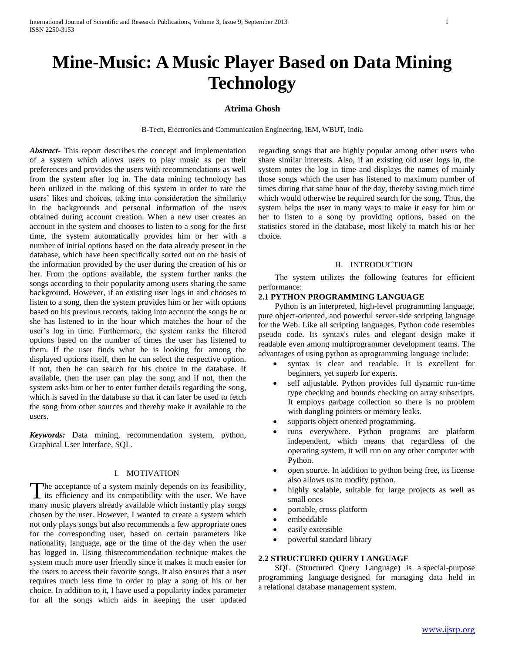# **Mine-Music: A Music Player Based on Data Mining Technology**

# **Atrima Ghosh**

B-Tech, Electronics and Communication Engineering, IEM, WBUT, India

*Abstract***-** This report describes the concept and implementation of a system which allows users to play music as per their preferences and provides the users with recommendations as well from the system after log in. The data mining technology has been utilized in the making of this system in order to rate the users' likes and choices, taking into consideration the similarity in the backgrounds and personal information of the users obtained during account creation. When a new user creates an account in the system and chooses to listen to a song for the first time, the system automatically provides him or her with a number of initial options based on the data already present in the database, which have been specifically sorted out on the basis of the information provided by the user during the creation of his or her. From the options available, the system further ranks the songs according to their popularity among users sharing the same background. However, if an existing user logs in and chooses to listen to a song, then the system provides him or her with options based on his previous records, taking into account the songs he or she has listened to in the hour which matches the hour of the user's log in time. Furthermore, the system ranks the filtered options based on the number of times the user has listened to them. If the user finds what he is looking for among the displayed options itself, then he can select the respective option. If not, then he can search for his choice in the database. If available, then the user can play the song and if not, then the system asks him or her to enter further details regarding the song, which is saved in the database so that it can later be used to fetch the song from other sources and thereby make it available to the users.

*Keywords:* Data mining, recommendation system, python, Graphical User Interface, SQL.

## I. MOTIVATION

The acceptance of a system mainly depends on its feasibility, its efficiency and its compatibility with the user. We have  $\blacktriangle$  its efficiency and its compatibility with the user. We have many music players already available which instantly play songs chosen by the user. However, I wanted to create a system which not only plays songs but also recommends a few appropriate ones for the corresponding user, based on certain parameters like nationality, language, age or the time of the day when the user has logged in. Using thisrecommendation technique makes the system much more user friendly since it makes it much easier for the users to access their favorite songs. It also ensures that a user requires much less time in order to play a song of his or her choice. In addition to it, I have used a popularity index parameter for all the songs which aids in keeping the user updated

regarding songs that are highly popular among other users who share similar interests. Also, if an existing old user logs in, the system notes the log in time and displays the names of mainly those songs which the user has listened to maximum number of times during that same hour of the day, thereby saving much time which would otherwise be required search for the song. Thus, the system helps the user in many ways to make it easy for him or her to listen to a song by providing options, based on the statistics stored in the database, most likely to match his or her choice.

#### II. INTRODUCTION

 The system utilizes the following features for efficient performance:

## **2.1 PYTHON PROGRAMMING LANGUAGE**

 Python is an interpreted, high-level programming language, pure object-oriented, and powerful server-side scripting language for the Web. Like all scripting languages, Python code resembles pseudo code. Its syntax's rules and elegant design make it readable even among multiprogrammer development teams. The advantages of using python as aprogramming language include:

- syntax is clear and readable. It is excellent for beginners, yet superb for experts.
- self adjustable. Python provides full dynamic run-time type checking and bounds checking on array subscripts. It employs garbage collection so there is no problem with dangling pointers or memory leaks.
- supports object oriented programming.
- runs everywhere. Python programs are platform independent, which means that regardless of the operating system, it will run on any other computer with Python.
- open source. In addition to python being free, its license also allows us to modify python.
- highly scalable, suitable for large projects as well as small ones
- portable, cross-platform
- embeddable
- easily extensible
- powerful standard library

## **2.2 STRUCTURED QUERY LANGUAGE**

 SQL (Structured Query Language) is a special-purpose programming language designed for managing data held in a relational database management system.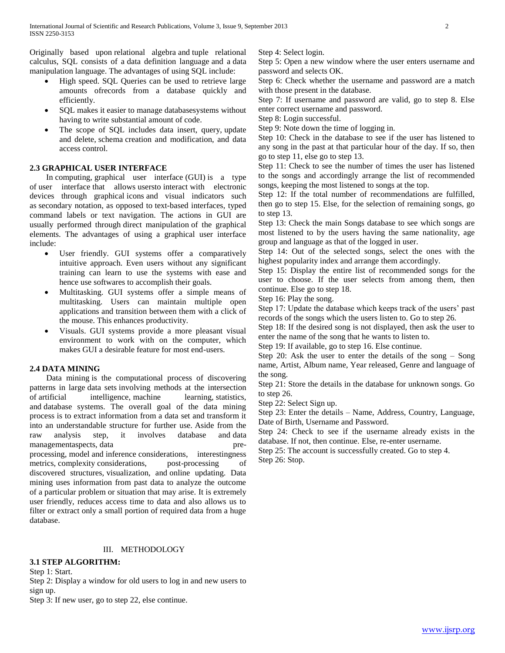Originally based upon relational algebra and tuple relational calculus, SQL consists of a data definition language and a data manipulation language. The advantages of using SQL include:

- High speed. SQL Queries can be used to retrieve large amounts ofrecords from a database quickly and efficiently.
- SQL makes it easier to manage databasesystems without having to write substantial amount of code.
- The scope of SQL includes data insert, query, update and delete, schema creation and modification, and data access control.

## **2.3 GRAPHICAL USER INTERFACE**

 In computing, graphical user interface (GUI) is a type of user interface that allows usersto interact with electronic devices through graphical icons and visual indicators such as secondary notation, as opposed to text-based interfaces, typed command labels or text navigation. The actions in GUI are usually performed through direct manipulation of the graphical elements. The advantages of using a graphical user interface include:

- User friendly. GUI systems offer a comparatively intuitive approach. Even users without any significant training can learn to use the systems with ease and hence use softwares to accomplish their goals.
- Multitasking. GUI systems offer a simple means of multitasking. Users can maintain multiple open applications and transition between them with a click of the mouse. This enhances productivity.
- Visuals. GUI systems provide a more pleasant visual environment to work with on the computer, which makes GUI a desirable feature for most end-users.

## **2.4 DATA MINING**

 Data mining is the computational process of discovering patterns in large data sets involving methods at the intersection of artificial intelligence, machine learning, statistics, and database systems. The overall goal of the data mining process is to extract information from a data set and transform it into an understandable structure for further use. Aside from the raw analysis step, it involves database and data managementaspects, data preprocessing, model and inference considerations, interestingness metrics, complexity considerations, post-processing of discovered structures, visualization, and online updating. Data mining uses information from past data to analyze the outcome of a particular problem or situation that may arise. It is extremely user friendly, reduces access time to data and also allows us to filter or extract only a small portion of required data from a huge database.

# III. METHODOLOGY

# **3.1 STEP ALGORITHM:**

Step 1: Start.

Step 2: Display a window for old users to log in and new users to sign up.

Step 3: If new user, go to step 22, else continue.

Step 4: Select login.

Step 5: Open a new window where the user enters username and password and selects OK.

Step 6: Check whether the username and password are a match with those present in the database.

Step 7: If username and password are valid, go to step 8. Else enter correct username and password.

Step 8: Login successful.

Step 9: Note down the time of logging in.

Step 10: Check in the database to see if the user has listened to any song in the past at that particular hour of the day. If so, then go to step 11, else go to step 13.

Step 11: Check to see the number of times the user has listened to the songs and accordingly arrange the list of recommended songs, keeping the most listened to songs at the top.

Step 12: If the total number of recommendations are fulfilled, then go to step 15. Else, for the selection of remaining songs, go to step 13.

Step 13: Check the main Songs database to see which songs are most listened to by the users having the same nationality, age group and language as that of the logged in user.

Step 14: Out of the selected songs, select the ones with the highest popularity index and arrange them accordingly.

Step 15: Display the entire list of recommended songs for the user to choose. If the user selects from among them, then continue. Else go to step 18.

Step 16: Play the song.

Step 17: Update the database which keeps track of the users' past records of the songs which the users listen to. Go to step 26.

Step 18: If the desired song is not displayed, then ask the user to enter the name of the song that he wants to listen to.

Step 19: If available, go to step 16. Else continue.

Step 20: Ask the user to enter the details of the song – Song name, Artist, Album name, Year released, Genre and language of the song.

Step 21: Store the details in the database for unknown songs. Go to step 26.

Step 22: Select Sign up.

Step 23: Enter the details – Name, Address, Country, Language, Date of Birth, Username and Password.

Step 24: Check to see if the username already exists in the database. If not, then continue. Else, re-enter username.

Step 25: The account is successfully created. Go to step 4. Step 26: Stop.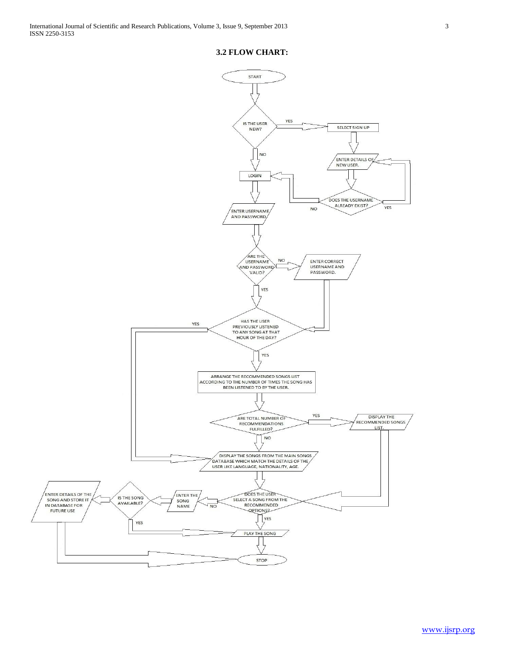## **3.2 FLOW CHART:**